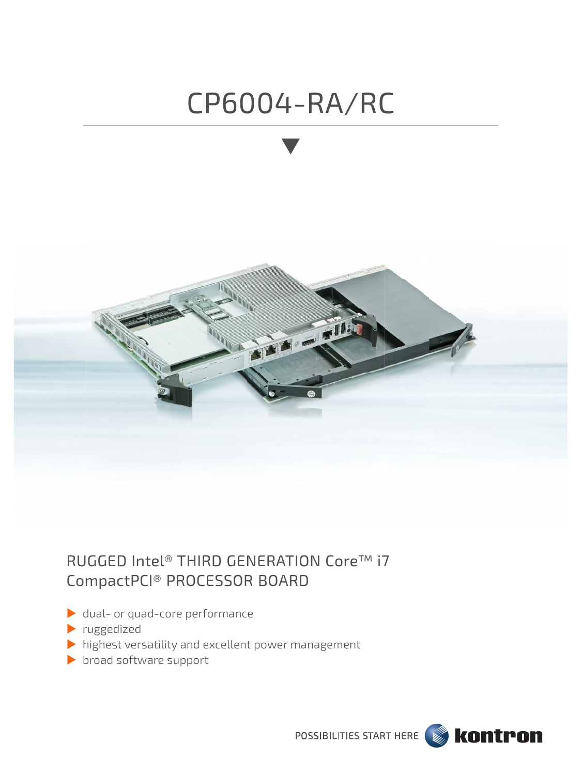# CP6004-RA/RC



## RUGGED Intel® THIRD GENERATION Core™ i7 CompactPCI® PROCESSOR BOARD

- dual- or quad-core performance
- **P**ruggedized
- highest versatility and excellent power management
- broad software support

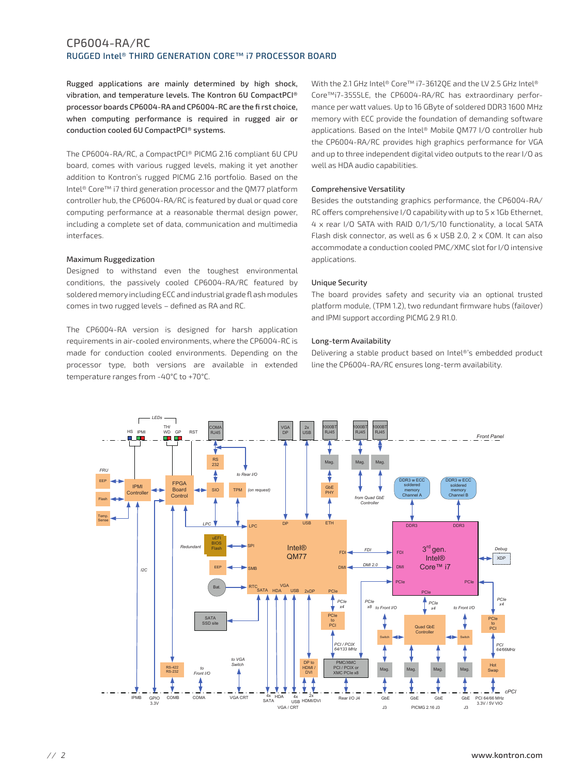### CP6004-RA/RC RUGGED Intel® THIRD GENERATION CORE™ i7 PROCESSOR BOARD

Rugged applications are mainly determined by high shock, vibration, and temperature levels. The Kontron 6U CompactPCI® processor boards CP6004-RA and CP6004-RC are the first choice. when computing performance is required in rugged air or conduction cooled 6U CompactPCI® systems.

The CP6004-RA/RC, a CompactPCI® PICMG 2.16 compliant 6U CPU board, comes with various rugged levels, making it yet another addition to Kontron's rugged PICMG 2.16 portfolio. Based on the Intel<sup>®</sup> Core™ i7 third generation processor and the OM77 platform controller hub, the CP6004-RA/RC is featured by dual or quad core computing performance at a reasonable thermal design power, including a complete set of data, communication and multimedia interfaces.

### **Maximum Ruggedization**

Designed to withstand even the toughest environmental conditions, the passively cooled CP6004-RA/RC featured by soldered memory including ECC and industrial grade fl ash modules comes in two rugged levels - defined as RA and RC.

The CP6004-RA version is designed for harsh application requirements in air-cooled environments, where the CP6004-RC is made for conduction cooled environments. Depending on the processor type, both versions are available in extended temperature ranges from -40°C to +70°C.

With the 2.1 GHz Intel® Core™ i7-36120E and the LV 2.5 GHz Intel® Core™i7-3555LE, the CP6004-RA/RC has extraordinary performance per watt values. Up to 16 GByte of soldered DDR3 1600 MHz memory with ECC provide the foundation of demanding software applications. Based on the Intel® Mobile OM77 I/O controller hub the CP6004-RA/RC provides high graphics performance for VGA and up to three independent digital video outputs to the rear I/O as well as HDA audio capabilities.

### Comprehensive Versatility

Besides the outstanding graphics performance, the CP6004-RA/ RC offers comprehensive I/O capability with up to 5 x 1Gb Ethernet, 4 x rear I/O SATA with RAID 0/1/5/10 functionality, a local SATA Flash disk connector, as well as 6 x USB 2.0, 2 x COM. It can also accommodate a conduction cooled PMC/XMC slot for I/O intensive applications.

### **Unique Security**

The board provides safety and security via an optional trusted platform module, (TPM 1.2), two redundant firmware hubs (failover) and IPMI support according PICMG 2.9 R1.0.

### Long-term Availability

Delivering a stable product based on Intel®'s embedded product line the CP6004-RA/RC ensures long-term availability.

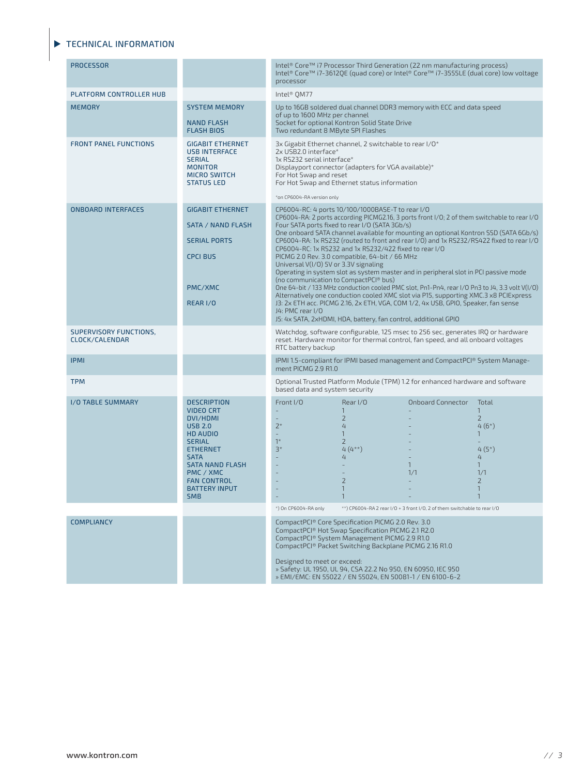### TECHNICAL INFORMATION

| <b>PROCESSOR</b>                         |                                                                                                                                                                                                                                               | Intel® Core™ i7 Processor Third Generation (22 nm manufacturing process)<br>Intel® Core™ i7-3612QE (quad core) or Intel® Core™ i7-3555LE (dual core) low voltage<br>processor                                                                                                                                                                                                                                                                                                                                                                                                                                                                                                                                                                                                                                                                                                                                                                                                                                                                    |                                                                                                                                                                                                                                                                                                                                                          |                                                                          |                                                                                                                                                  |
|------------------------------------------|-----------------------------------------------------------------------------------------------------------------------------------------------------------------------------------------------------------------------------------------------|--------------------------------------------------------------------------------------------------------------------------------------------------------------------------------------------------------------------------------------------------------------------------------------------------------------------------------------------------------------------------------------------------------------------------------------------------------------------------------------------------------------------------------------------------------------------------------------------------------------------------------------------------------------------------------------------------------------------------------------------------------------------------------------------------------------------------------------------------------------------------------------------------------------------------------------------------------------------------------------------------------------------------------------------------|----------------------------------------------------------------------------------------------------------------------------------------------------------------------------------------------------------------------------------------------------------------------------------------------------------------------------------------------------------|--------------------------------------------------------------------------|--------------------------------------------------------------------------------------------------------------------------------------------------|
| PLATFORM CONTROLLER HUB                  |                                                                                                                                                                                                                                               | Intel <sup>®</sup> OM77                                                                                                                                                                                                                                                                                                                                                                                                                                                                                                                                                                                                                                                                                                                                                                                                                                                                                                                                                                                                                          |                                                                                                                                                                                                                                                                                                                                                          |                                                                          |                                                                                                                                                  |
| <b>MEMORY</b>                            | <b>SYSTEM MEMORY</b><br><b>NAND FLASH</b><br><b>FLASH BIOS</b>                                                                                                                                                                                | Up to 16GB soldered dual channel DDR3 memory with ECC and data speed<br>of up to 1600 MHz per channel<br>Socket for optional Kontron Solid State Drive<br>Two redundant 8 MByte SPI Flashes                                                                                                                                                                                                                                                                                                                                                                                                                                                                                                                                                                                                                                                                                                                                                                                                                                                      |                                                                                                                                                                                                                                                                                                                                                          |                                                                          |                                                                                                                                                  |
| <b>FRONT PANEL FUNCTIONS</b>             | <b>GIGABIT ETHERNET</b><br><b>USB INTERFACE</b><br><b>SERIAL</b><br><b>MONITOR</b><br><b>MICRO SWITCH</b><br><b>STATUS LED</b>                                                                                                                | 3x Gigabit Ethernet channel, 2 switchable to rear I/O*<br>2x USB2.0 interface*<br>1x RS232 serial interface*<br>Displayport connector (adapters for VGA available)*<br>For Hot Swap and reset<br>For Hot Swap and Ethernet status information<br>*on CP6004-RA version only                                                                                                                                                                                                                                                                                                                                                                                                                                                                                                                                                                                                                                                                                                                                                                      |                                                                                                                                                                                                                                                                                                                                                          |                                                                          |                                                                                                                                                  |
| <b>ONBOARD INTERFACES</b>                | <b>GIGABIT ETHERNET</b><br>SATA / NAND FLASH<br><b>SERIAL PORTS</b><br><b>CPCI BUS</b><br>PMC/XMC<br>REAR I/O                                                                                                                                 | CP6004-RC: 4 ports 10/100/1000BASE-T to rear I/O<br>CP6004-RA: 2 ports according PICMG2.16, 3 ports front I/O; 2 of them switchable to rear I/O<br>Four SATA ports fixed to rear I/O (SATA 3Gb/s)<br>One onboard SATA channel available for mounting an optional Kontron SSD (SATA 6Gb/s)<br>CP6004-RA: 1x RS232 (routed to front and rear I/O) and 1x RS232/RS422 fixed to rear I/O<br>CP6004-RC: 1x RS232 and 1x RS232/422 fixed to rear I/O<br>PICMG 2.0 Rev. 3.0 compatible, 64-bit / 66 MHz<br>Universal V(I/O) 5V or 3.3V signaling<br>Operating in system slot as system master and in peripheral slot in PCI passive mode<br>(no communication to CompactPCI® bus)<br>One 64-bit / 133 MHz conduction cooled PMC slot, Pn1-Pn4, rear I/O Pn3 to J4, 3.3 volt V(I/O)<br>Alternatively one conduction cooled XMC slot via P15, supporting XMC.3 x8 PCIExpress<br>J3: 2x ETH acc. PICMG 2.16, 2x ETH, VGA, COM 1/2, 4x USB, GPIO, Speaker, fan sense<br>J4: PMC rear I/O<br>J5: 4x SATA, 2xHDMI, HDA, battery, fan control, additional GPIO |                                                                                                                                                                                                                                                                                                                                                          |                                                                          |                                                                                                                                                  |
| SUPERVISORY FUNCTIONS,<br>CLOCK/CALENDAR |                                                                                                                                                                                                                                               | Watchdog, software configurable, 125 msec to 256 sec, generates IRQ or hardware<br>reset. Hardware monitor for thermal control, fan speed, and all onboard voltages<br>RTC battery backup                                                                                                                                                                                                                                                                                                                                                                                                                                                                                                                                                                                                                                                                                                                                                                                                                                                        |                                                                                                                                                                                                                                                                                                                                                          |                                                                          |                                                                                                                                                  |
| <b>IPMI</b>                              |                                                                                                                                                                                                                                               | IPMI 1.5-compliant for IPMI based management and CompactPCI® System Manage-<br>ment PICMG 2.9 R1.0                                                                                                                                                                                                                                                                                                                                                                                                                                                                                                                                                                                                                                                                                                                                                                                                                                                                                                                                               |                                                                                                                                                                                                                                                                                                                                                          |                                                                          |                                                                                                                                                  |
| <b>TPM</b>                               |                                                                                                                                                                                                                                               | Optional Trusted Platform Module (TPM) 1.2 for enhanced hardware and software<br>based data and system security                                                                                                                                                                                                                                                                                                                                                                                                                                                                                                                                                                                                                                                                                                                                                                                                                                                                                                                                  |                                                                                                                                                                                                                                                                                                                                                          |                                                                          |                                                                                                                                                  |
| I/O TABLE SUMMARY                        | <b>DESCRIPTION</b><br><b>VIDEO CRT</b><br>DVI/HDMI<br><b>USB 2.0</b><br><b>HD AUDIO</b><br><b>SERIAL</b><br><b>ETHERNET</b><br><b>SATA</b><br><b>SATA NAND FLASH</b><br>PMC / XMC<br><b>FAN CONTROL</b><br><b>BATTERY INPUT</b><br><b>SMB</b> | Front I/O<br>$\overline{\phantom{a}}$<br>$\overline{\phantom{a}}$<br>$2^*$<br>$\overline{\phantom{a}}$<br>$1*$<br>$3*$<br>L,                                                                                                                                                                                                                                                                                                                                                                                                                                                                                                                                                                                                                                                                                                                                                                                                                                                                                                                     | Rear I/O<br>$\mathbf{1}$<br>$\overline{2}$<br>4<br>$\mathbf{1}$<br>$\overline{2}$<br>$4(4**)$<br>4<br>$\overline{2}$<br>1<br>$\overline{1}$                                                                                                                                                                                                              | <b>Onboard Connector</b><br>$\mathbf{1}$<br>1/1                          | Total<br>$\mathbf{1}$<br>$\overline{2}$<br>$4(6*)$<br>$\mathbf{1}$<br>$4(5*)$<br>4<br>$\mathbf{1}$<br>1/1<br>$\overline{2}$<br>1<br>$\mathbf{1}$ |
|                                          |                                                                                                                                                                                                                                               | *) On CP6004-RA only                                                                                                                                                                                                                                                                                                                                                                                                                                                                                                                                                                                                                                                                                                                                                                                                                                                                                                                                                                                                                             |                                                                                                                                                                                                                                                                                                                                                          | **) CP6004-RA 2 rear I/O + 3 front I/O, 2 of them switchable to rear I/O |                                                                                                                                                  |
| <b>COMPLIANCY</b>                        |                                                                                                                                                                                                                                               | Designed to meet or exceed:                                                                                                                                                                                                                                                                                                                                                                                                                                                                                                                                                                                                                                                                                                                                                                                                                                                                                                                                                                                                                      | CompactPCI® Core Specification PICMG 2.0 Rev. 3.0<br>CompactPCI® Hot Swap Specification PICMG 2.1 R2.0<br>CompactPCI <sup>®</sup> System Management PICMG 2.9 R1.0<br>CompactPCI® Packet Switching Backplane PICMG 2.16 R1.0<br>» Safety: UL 1950, UL 94, CSA 22.2 No 950, EN 60950, IEC 950<br>» EMI/EMC: EN 55022 / EN 55024, EN 50081-1 / EN 6100-6-2 |                                                                          |                                                                                                                                                  |